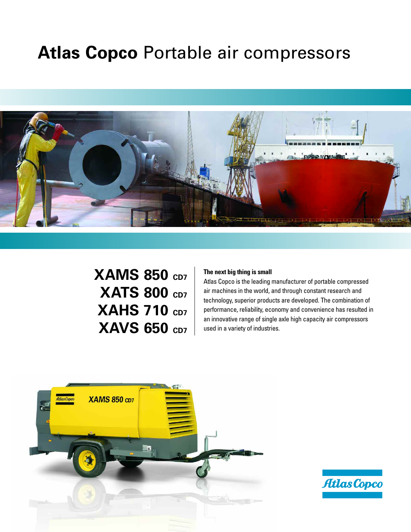## **Atlas Copco** Portable air compressors



## **XAMS 850 CD7 XATS 800 CD7 XAHS 710 CD7 XAVS 650 CD7**

#### **The next big thing is small**

Atlas Copco is the leading manufacturer of portable compressed air machines in the world, and through constant research and technology, superior products are developed. The combination of performance, reliability, economy and convenience has resulted in an innovative range of single axle high capacity air compressors used in a variety of industries.